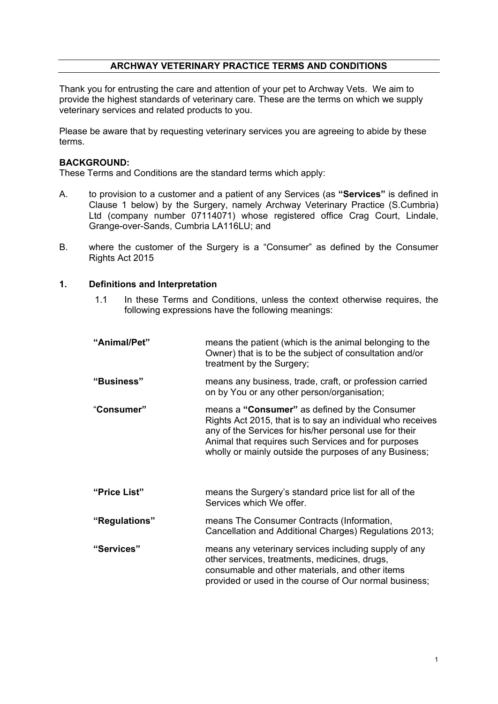### **ARCHWAY VETERINARY PRACTICE TERMS AND CONDITIONS**

Thank you for entrusting the care and attention of your pet to Archway Vets. We aim to provide the highest standards of veterinary care. These are the terms on which we supply veterinary services and related products to you.

Please be aware that by requesting veterinary services you are agreeing to abide by these terms.

## **BACKGROUND:**

These Terms and Conditions are the standard terms which apply:

- A. to provision to a customer and a patient of any Services (as **"Services"** is defined in Clause 1 below) by the Surgery, namely Archway Veterinary Practice (S.Cumbria) Ltd (company number 07114071) whose registered office Crag Court, Lindale, Grange-over-Sands, Cumbria LA116LU; and
- B. where the customer of the Surgery is a "Consumer" as defined by the Consumer Rights Act 2015

#### **1. Definitions and Interpretation**

1.1 In these Terms and Conditions, unless the context otherwise requires, the following expressions have the following meanings:

| "Animal/Pet"  | means the patient (which is the animal belonging to the<br>Owner) that is to be the subject of consultation and/or<br>treatment by the Surgery;                                                                                                                                        |
|---------------|----------------------------------------------------------------------------------------------------------------------------------------------------------------------------------------------------------------------------------------------------------------------------------------|
| "Business"    | means any business, trade, craft, or profession carried<br>on by You or any other person/organisation;                                                                                                                                                                                 |
| "Consumer"    | means a "Consumer" as defined by the Consumer<br>Rights Act 2015, that is to say an individual who receives<br>any of the Services for his/her personal use for their<br>Animal that requires such Services and for purposes<br>wholly or mainly outside the purposes of any Business; |
| "Price List"  | means the Surgery's standard price list for all of the<br>Services which We offer.                                                                                                                                                                                                     |
| "Regulations" | means The Consumer Contracts (Information,<br>Cancellation and Additional Charges) Regulations 2013;                                                                                                                                                                                   |
| "Services"    | means any veterinary services including supply of any<br>other services, treatments, medicines, drugs,<br>consumable and other materials, and other items<br>provided or used in the course of Our normal business;                                                                    |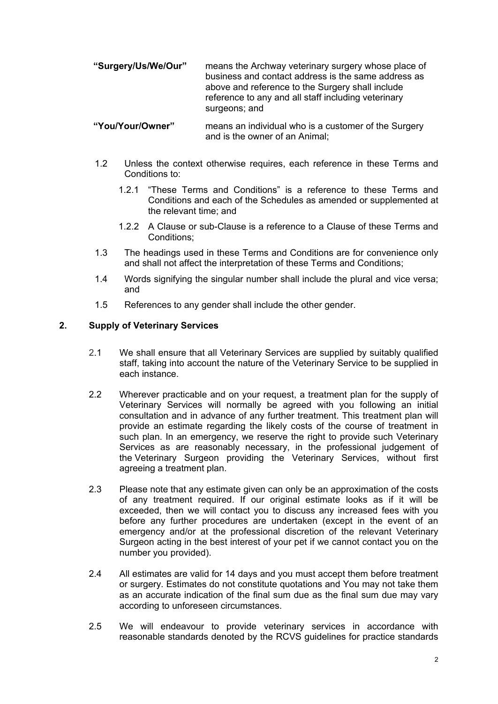**"Surgery/Us/We/Our"** means the Archway veterinary surgery whose place of business and contact address is the same address as above and reference to the Surgery shall include reference to any and all staff including veterinary surgeons; and

#### **"You/Your/Owner"** means an individual who is a customer of the Surgery and is the owner of an Animal;

- 1.2 Unless the context otherwise requires, each reference in these Terms and Conditions to:
	- 1.2.1 "These Terms and Conditions" is a reference to these Terms and Conditions and each of the Schedules as amended or supplemented at the relevant time; and
	- 1.2.2 A Clause or sub-Clause is a reference to a Clause of these Terms and Conditions;
- 1.3 The headings used in these Terms and Conditions are for convenience only and shall not affect the interpretation of these Terms and Conditions;
- 1.4 Words signifying the singular number shall include the plural and vice versa; and
- 1.5 References to any gender shall include the other gender.

# **2. Supply of Veterinary Services**

- 2.1 We shall ensure that all Veterinary Services are supplied by suitably qualified staff, taking into account the nature of the Veterinary Service to be supplied in each instance.
- 2.2 Wherever practicable and on your request, a treatment plan for the supply of Veterinary Services will normally be agreed with you following an initial consultation and in advance of any further treatment. This treatment plan will provide an estimate regarding the likely costs of the course of treatment in such plan. In an emergency, we reserve the right to provide such Veterinary Services as are reasonably necessary, in the professional judgement of the Veterinary Surgeon providing the Veterinary Services, without first agreeing a treatment plan.
- 2.3 Please note that any estimate given can only be an approximation of the costs of any treatment required. If our original estimate looks as if it will be exceeded, then we will contact you to discuss any increased fees with you before any further procedures are undertaken (except in the event of an emergency and/or at the professional discretion of the relevant Veterinary Surgeon acting in the best interest of your pet if we cannot contact you on the number you provided).
- 2.4 All estimates are valid for 14 days and you must accept them before treatment or surgery. Estimates do not constitute quotations and You may not take them as an accurate indication of the final sum due as the final sum due may vary according to unforeseen circumstances.
- 2.5 We will endeavour to provide veterinary services in accordance with reasonable standards denoted by the RCVS guidelines for practice standards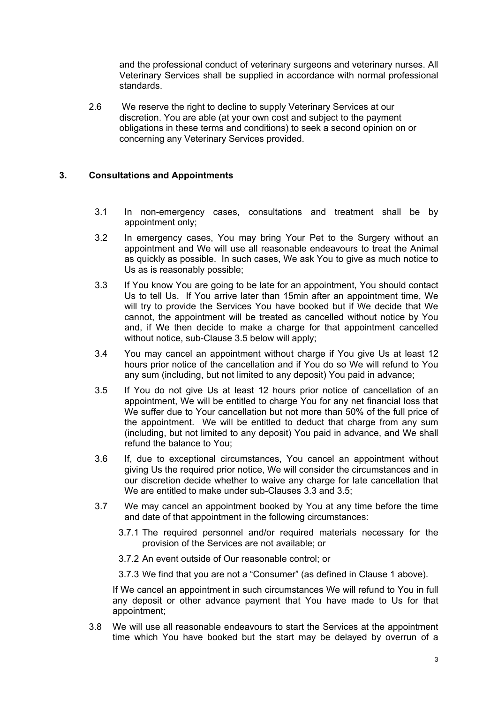and the professional conduct of veterinary surgeons and veterinary nurses. All Veterinary Services shall be supplied in accordance with normal professional standards.

2.6 We reserve the right to decline to supply Veterinary Services at our discretion. You are able (at your own cost and subject to the payment obligations in these terms and conditions) to seek a second opinion on or concerning any Veterinary Services provided.

# **3. Consultations and Appointments**

- 3.1 In non-emergency cases, consultations and treatment shall be by appointment only;
- 3.2 In emergency cases, You may bring Your Pet to the Surgery without an appointment and We will use all reasonable endeavours to treat the Animal as quickly as possible. In such cases, We ask You to give as much notice to Us as is reasonably possible;
- 3.3 If You know You are going to be late for an appointment, You should contact Us to tell Us. If You arrive later than 15min after an appointment time, We will try to provide the Services You have booked but if We decide that We cannot, the appointment will be treated as cancelled without notice by You and, if We then decide to make a charge for that appointment cancelled without notice, sub-Clause 3.5 below will apply;
- 3.4 You may cancel an appointment without charge if You give Us at least 12 hours prior notice of the cancellation and if You do so We will refund to You any sum (including, but not limited to any deposit) You paid in advance;
- 3.5 If You do not give Us at least 12 hours prior notice of cancellation of an appointment, We will be entitled to charge You for any net financial loss that We suffer due to Your cancellation but not more than 50% of the full price of the appointment. We will be entitled to deduct that charge from any sum (including, but not limited to any deposit) You paid in advance, and We shall refund the balance to You;
- 3.6 If, due to exceptional circumstances, You cancel an appointment without giving Us the required prior notice, We will consider the circumstances and in our discretion decide whether to waive any charge for late cancellation that We are entitled to make under sub-Clauses 3.3 and 3.5;
- 3.7 We may cancel an appointment booked by You at any time before the time and date of that appointment in the following circumstances:
	- 3.7.1 The required personnel and/or required materials necessary for the provision of the Services are not available; or
	- 3.7.2 An event outside of Our reasonable control; or

3.7.3 We find that you are not a "Consumer" (as defined in Clause 1 above).

If We cancel an appointment in such circumstances We will refund to You in full any deposit or other advance payment that You have made to Us for that appointment;

3.8 We will use all reasonable endeavours to start the Services at the appointment time which You have booked but the start may be delayed by overrun of a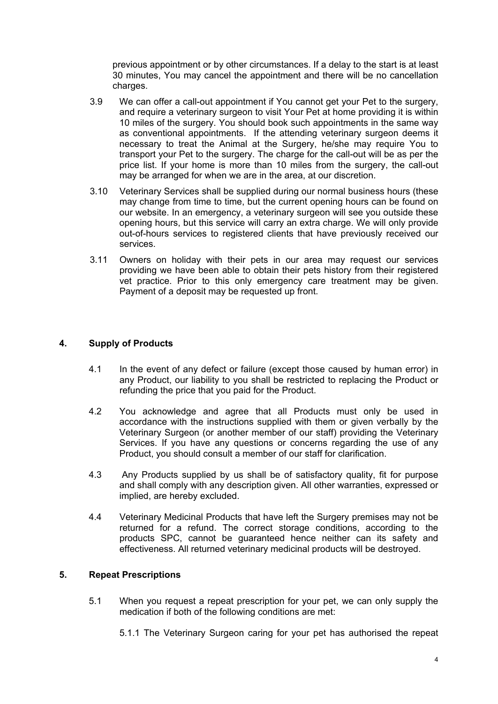previous appointment or by other circumstances. If a delay to the start is at least 30 minutes, You may cancel the appointment and there will be no cancellation charges.

- 3.9 We can offer a call-out appointment if You cannot get your Pet to the surgery, and require a veterinary surgeon to visit Your Pet at home providing it is within 10 miles of the surgery. You should book such appointments in the same way as conventional appointments. If the attending veterinary surgeon deems it necessary to treat the Animal at the Surgery, he/she may require You to transport your Pet to the surgery. The charge for the call-out will be as per the price list. If your home is more than 10 miles from the surgery, the call-out may be arranged for when we are in the area, at our discretion.
- 3.10 Veterinary Services shall be supplied during our normal business hours (these may change from time to time, but the current opening hours can be found on our website. In an emergency, a veterinary surgeon will see you outside these opening hours, but this service will carry an extra charge. We will only provide out-of-hours services to registered clients that have previously received our services.
- 3.11 Owners on holiday with their pets in our area may request our services providing we have been able to obtain their pets history from their registered vet practice. Prior to this only emergency care treatment may be given. Payment of a deposit may be requested up front.

## **4. Supply of Products**

- 4.1 In the event of any defect or failure (except those caused by human error) in any Product, our liability to you shall be restricted to replacing the Product or refunding the price that you paid for the Product.
- 4.2 You acknowledge and agree that all Products must only be used in accordance with the instructions supplied with them or given verbally by the Veterinary Surgeon (or another member of our staff) providing the Veterinary Services. If you have any questions or concerns regarding the use of any Product, you should consult a member of our staff for clarification.
- 4.3 Any Products supplied by us shall be of satisfactory quality, fit for purpose and shall comply with any description given. All other warranties, expressed or implied, are hereby excluded.
- 4.4 Veterinary Medicinal Products that have left the Surgery premises may not be returned for a refund. The correct storage conditions, according to the products SPC, cannot be guaranteed hence neither can its safety and effectiveness. All returned veterinary medicinal products will be destroyed.

### **5. Repeat Prescriptions**

5.1 When you request a repeat prescription for your pet, we can only supply the medication if both of the following conditions are met:

5.1.1 The Veterinary Surgeon caring for your pet has authorised the repeat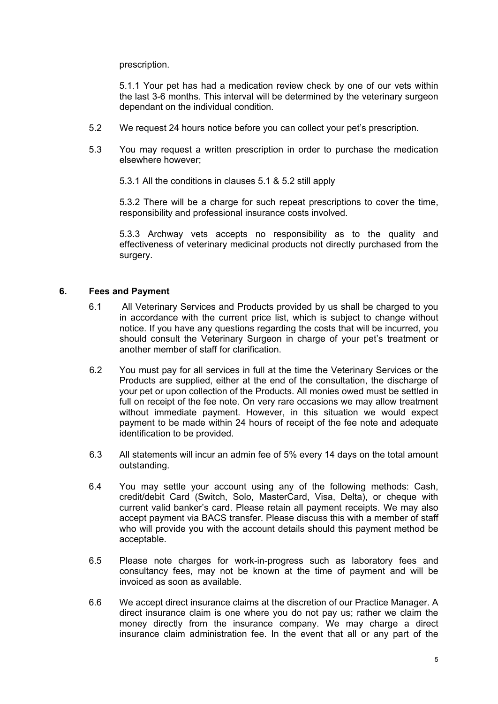prescription.

5.1.1 Your pet has had a medication review check by one of our vets within the last 3-6 months. This interval will be determined by the veterinary surgeon dependant on the individual condition.

- 5.2 We request 24 hours notice before you can collect your pet's prescription.
- 5.3 You may request a written prescription in order to purchase the medication elsewhere however;

5.3.1 All the conditions in clauses 5.1 & 5.2 still apply

5.3.2 There will be a charge for such repeat prescriptions to cover the time, responsibility and professional insurance costs involved.

5.3.3 Archway vets accepts no responsibility as to the quality and effectiveness of veterinary medicinal products not directly purchased from the surgery.

### **6. Fees and Payment**

- 6.1 All Veterinary Services and Products provided by us shall be charged to you in accordance with the current price list, which is subject to change without notice. If you have any questions regarding the costs that will be incurred, you should consult the Veterinary Surgeon in charge of your pet's treatment or another member of staff for clarification.
- 6.2 You must pay for all services in full at the time the Veterinary Services or the Products are supplied, either at the end of the consultation, the discharge of your pet or upon collection of the Products. All monies owed must be settled in full on receipt of the fee note. On very rare occasions we may allow treatment without immediate payment. However, in this situation we would expect payment to be made within 24 hours of receipt of the fee note and adequate identification to be provided.
- 6.3 All statements will incur an admin fee of 5% every 14 days on the total amount outstanding.
- 6.4 You may settle your account using any of the following methods: Cash, credit/debit Card (Switch, Solo, MasterCard, Visa, Delta), or cheque with current valid banker's card. Please retain all payment receipts. We may also accept payment via BACS transfer. Please discuss this with a member of staff who will provide you with the account details should this payment method be acceptable.
- 6.5 Please note charges for work-in-progress such as laboratory fees and consultancy fees, may not be known at the time of payment and will be invoiced as soon as available.
- 6.6 We accept direct insurance claims at the discretion of our Practice Manager. A direct insurance claim is one where you do not pay us; rather we claim the money directly from the insurance company. We may charge a direct insurance claim administration fee. In the event that all or any part of the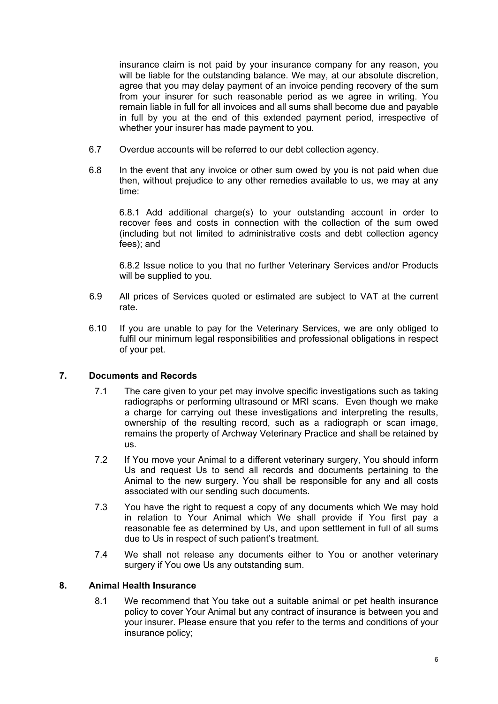insurance claim is not paid by your insurance company for any reason, you will be liable for the outstanding balance. We may, at our absolute discretion, agree that you may delay payment of an invoice pending recovery of the sum from your insurer for such reasonable period as we agree in writing. You remain liable in full for all invoices and all sums shall become due and payable in full by you at the end of this extended payment period, irrespective of whether your insurer has made payment to you.

- 6.7 Overdue accounts will be referred to our debt collection agency.
- 6.8 In the event that any invoice or other sum owed by you is not paid when due then, without prejudice to any other remedies available to us, we may at any time:

6.8.1 Add additional charge(s) to your outstanding account in order to recover fees and costs in connection with the collection of the sum owed (including but not limited to administrative costs and debt collection agency fees); and

6.8.2 Issue notice to you that no further Veterinary Services and/or Products will be supplied to you.

- 6.9 All prices of Services quoted or estimated are subject to VAT at the current rate.
- 6.10 If you are unable to pay for the Veterinary Services, we are only obliged to fulfil our minimum legal responsibilities and professional obligations in respect of your pet.

### **7. Documents and Records**

- 7.1 The care given to your pet may involve specific investigations such as taking radiographs or performing ultrasound or MRI scans. Even though we make a charge for carrying out these investigations and interpreting the results, ownership of the resulting record, such as a radiograph or scan image, remains the property of Archway Veterinary Practice and shall be retained by us.
- 7.2 If You move your Animal to a different veterinary surgery, You should inform Us and request Us to send all records and documents pertaining to the Animal to the new surgery. You shall be responsible for any and all costs associated with our sending such documents.
- 7.3 You have the right to request a copy of any documents which We may hold in relation to Your Animal which We shall provide if You first pay a reasonable fee as determined by Us, and upon settlement in full of all sums due to Us in respect of such patient's treatment.
- 7.4 We shall not release any documents either to You or another veterinary surgery if You owe Us any outstanding sum.

## **8. Animal Health Insurance**

8.1 We recommend that You take out a suitable animal or pet health insurance policy to cover Your Animal but any contract of insurance is between you and your insurer. Please ensure that you refer to the terms and conditions of your insurance policy;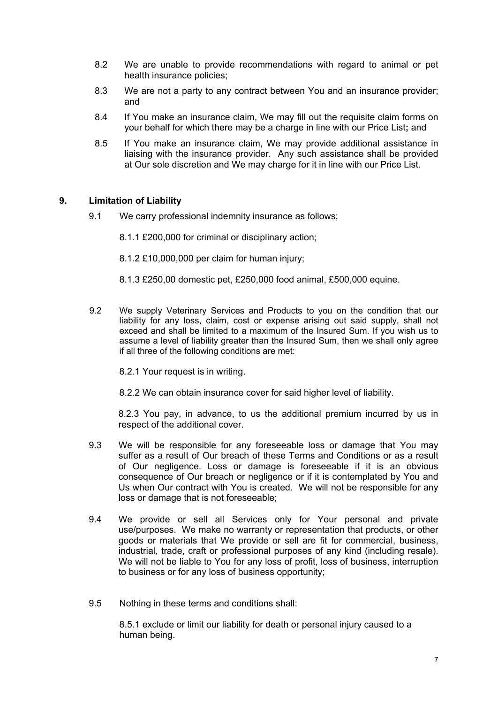- 8.2 We are unable to provide recommendations with regard to animal or pet health insurance policies;
- 8.3 We are not a party to any contract between You and an insurance provider; and
- 8.4 If You make an insurance claim, We may fill out the requisite claim forms on your behalf for which there may be a charge in line with our Price List**;** and
- 8.5 If You make an insurance claim, We may provide additional assistance in liaising with the insurance provider. Any such assistance shall be provided at Our sole discretion and We may charge for it in line with our Price List.

## **9. Limitation of Liability**

9.1 We carry professional indemnity insurance as follows;

8.1.1 £200,000 for criminal or disciplinary action;

- 8.1.2 £10,000,000 per claim for human injury;
- 8.1.3 £250,00 domestic pet, £250,000 food animal, £500,000 equine.
- 9.2 We supply Veterinary Services and Products to you on the condition that our liability for any loss, claim, cost or expense arising out said supply, shall not exceed and shall be limited to a maximum of the Insured Sum. If you wish us to assume a level of liability greater than the Insured Sum, then we shall only agree if all three of the following conditions are met:

8.2.1 Your request is in writing.

8.2.2 We can obtain insurance cover for said higher level of liability.

8.2.3 You pay, in advance, to us the additional premium incurred by us in respect of the additional cover.

- 9.3 We will be responsible for any foreseeable loss or damage that You may suffer as a result of Our breach of these Terms and Conditions or as a result of Our negligence. Loss or damage is foreseeable if it is an obvious consequence of Our breach or negligence or if it is contemplated by You and Us when Our contract with You is created. We will not be responsible for any loss or damage that is not foreseeable;
- 9.4 We provide or sell all Services only for Your personal and private use/purposes. We make no warranty or representation that products, or other goods or materials that We provide or sell are fit for commercial, business, industrial, trade, craft or professional purposes of any kind (including resale). We will not be liable to You for any loss of profit, loss of business, interruption to business or for any loss of business opportunity;
- 9.5 Nothing in these terms and conditions shall:

8.5.1 exclude or limit our liability for death or personal injury caused to a human being.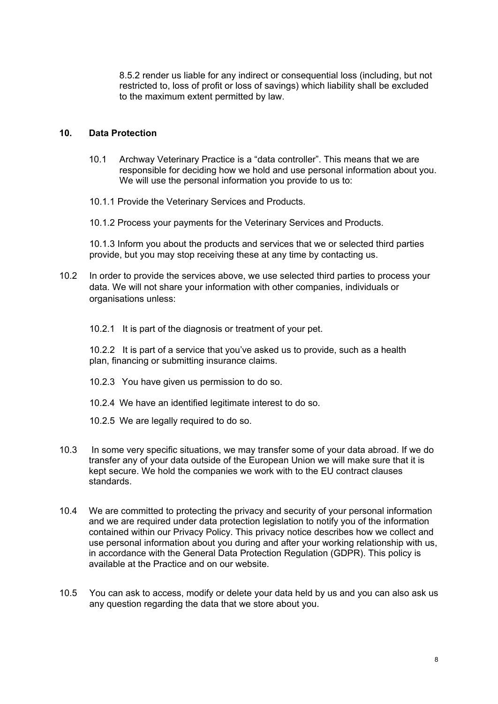8.5.2 render us liable for any indirect or consequential loss (including, but not restricted to, loss of profit or loss of savings) which liability shall be excluded to the maximum extent permitted by law.

### **10. Data Protection**

- 10.1 Archway Veterinary Practice is a "data controller". This means that we are responsible for deciding how we hold and use personal information about you. We will use the personal information you provide to us to:
- 10.1.1 Provide the Veterinary Services and Products.

10.1.2 Process your payments for the Veterinary Services and Products.

10.1.3 Inform you about the products and services that we or selected third parties provide, but you may stop receiving these at any time by contacting us.

10.2 In order to provide the services above, we use selected third parties to process your data. We will not share your information with other companies, individuals or organisations unless:

10.2.1 It is part of the diagnosis or treatment of your pet.

10.2.2 It is part of a service that you've asked us to provide, such as a health plan, financing or submitting insurance claims.

- 10.2.3 You have given us permission to do so.
- 10.2.4 We have an identified legitimate interest to do so.
- 10.2.5 We are legally required to do so.
- 10.3 In some very specific situations, we may transfer some of your data abroad. If we do transfer any of your data outside of the European Union we will make sure that it is kept secure. We hold the companies we work with to the EU contract clauses standards.
- 10.4 We are committed to protecting the privacy and security of your personal information and we are required under data protection legislation to notify you of the information contained within our Privacy Policy. This privacy notice describes how we collect and use personal information about you during and after your working relationship with us, in accordance with the General Data Protection Regulation (GDPR). This policy is available at the Practice and on our website.
- 10.5 You can ask to access, modify or delete your data held by us and you can also ask us any question regarding the data that we store about you.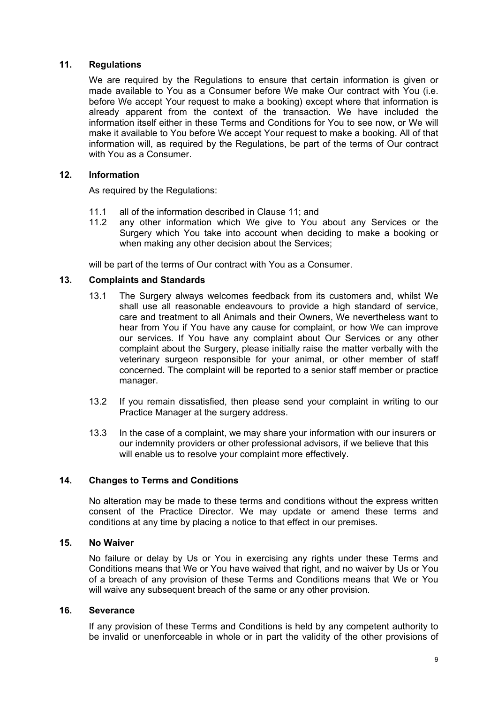### **11. Regulations**

We are required by the Regulations to ensure that certain information is given or made available to You as a Consumer before We make Our contract with You (i.e. before We accept Your request to make a booking) except where that information is already apparent from the context of the transaction. We have included the information itself either in these Terms and Conditions for You to see now, or We will make it available to You before We accept Your request to make a booking. All of that information will, as required by the Regulations, be part of the terms of Our contract with You as a Consumer.

### **12. Information**

As required by the Regulations:

- 11.1 all of the information described in Clause 11; and
- 11.2 any other information which We give to You about any Services or the Surgery which You take into account when deciding to make a booking or when making any other decision about the Services;

will be part of the terms of Our contract with You as a Consumer.

## **13. Complaints and Standards**

- 13.1 The Surgery always welcomes feedback from its customers and, whilst We shall use all reasonable endeavours to provide a high standard of service, care and treatment to all Animals and their Owners, We nevertheless want to hear from You if You have any cause for complaint, or how We can improve our services. If You have any complaint about Our Services or any other complaint about the Surgery, please initially raise the matter verbally with the veterinary surgeon responsible for your animal, or other member of staff concerned. The complaint will be reported to a senior staff member or practice manager.
- 13.2 If you remain dissatisfied, then please send your complaint in writing to our Practice Manager at the surgery address.
- 13.3 In the case of a complaint, we may share your information with our insurers or our indemnity providers or other professional advisors, if we believe that this will enable us to resolve your complaint more effectively.

# **14. Changes to Terms and Conditions**

No alteration may be made to these terms and conditions without the express written consent of the Practice Director. We may update or amend these terms and conditions at any time by placing a notice to that effect in our premises.

### **15. No Waiver**

No failure or delay by Us or You in exercising any rights under these Terms and Conditions means that We or You have waived that right, and no waiver by Us or You of a breach of any provision of these Terms and Conditions means that We or You will waive any subsequent breach of the same or any other provision.

### **16. Severance**

If any provision of these Terms and Conditions is held by any competent authority to be invalid or unenforceable in whole or in part the validity of the other provisions of